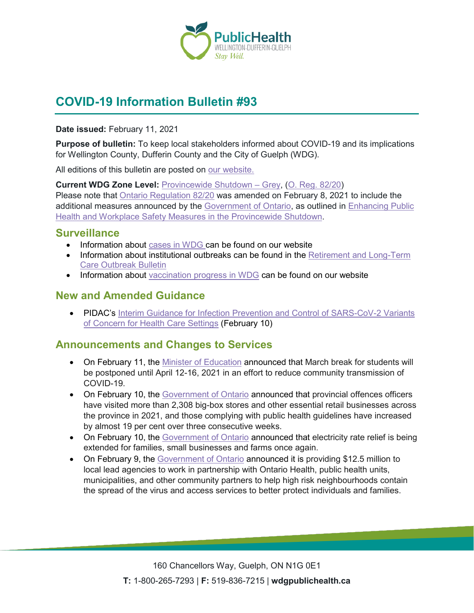

# **COVID-19 Information Bulletin #93**

#### **Date issued:** February 11, 2021

**Purpose of bulletin:** To keep local stakeholders informed about COVID-19 and its implications for Wellington County, Dufferin County and the City of Guelph (WDG).

All editions of this bulletin are posted on [our website.](https://www.wdgpublichealth.ca/your-health/covid-19-information-workplaces-and-living-spaces/community-stakeholder-bulletins)

**Current WDG Zone Level:** [Provincewide Shutdown –](https://www.ontario.ca/page/covid-19-provincewide-shutdown) Grey, (O. Reg. [82/20\)](https://www.ontario.ca/laws/regulation/200082) Please note that [Ontario Regulation 82/20](https://www.ontario.ca/laws/regulation/200082) was amended on February 8, 2021 to include the additional measures announced by the [Government](https://news.ontario.ca/en/release/59922/ontario-declares-second-provincial-emergency-to-address-covid-19-crisis-and-save-lives) of Ontario, as outlined in [Enhancing Public](https://files.ontario.ca/moh-enhanced-provincewide-shutdown-en-2021-01-12-v3.pdf)  [Health and Workplace Safety Measures in the Provincewide](https://files.ontario.ca/moh-enhanced-provincewide-shutdown-en-2021-01-12-v3.pdf) Shutdown.

### **Surveillance**

- Information about [cases in WDG](https://wdgpublichealth.ca/your-health/covid-19-information-public/status-cases-wdg) can be found on our website
- Information about institutional outbreaks can be found in the Retirement and Long-Term [Care Outbreak Bulletin](https://wdgpublichealth.ca/node/1542)
- Information about [vaccination progress](https://www.wdgpublichealth.ca/your-health/covid-19-information-public/covid-19-vaccine-information-public) in WDG can be found on our website

### **New and Amended Guidance**

• PIDAC's Interim Guidance for Infection Prevention and Control of SARS-CoV-2 Variants [of Concern for Health Care Settings](https://www.publichealthontario.ca/-/media/documents/ncov/voc/02/pidac-interim-guidance-sars-cov-2-variants.pdf?la=en) (February 10)

### **Announcements and Changes to Services**

- On February 11, the [Minister of Education](https://news.ontario.ca/en/statement/60325/ontario-delays-march-break-in-an-effort-to-reduce-community-transmission-of-covid-19) announced that March break for students will be postponed until April 12-16, 2021 in an effort to reduce community transmission of COVID-19.
- On February 10, the [Government of Ontario](https://news.ontario.ca/en/release/60303/retailers-show-improvement-in-complying-with-public-health-guidelines) announced that provincial offences officers have visited more than 2,308 big-box stores and other essential retail businesses across the province in 2021, and those complying with public health guidelines have increased by almost 19 per cent over three consecutive weeks.
- On February 10, the [Government of Ontario](https://news.ontario.ca/en/release/60295/ontario-extends-off-peak-electricity-rates-to-provide-relief-for-families-small-businesses-and-farms-1) announced that electricity rate relief is being extended for families, small businesses and farms once again.
- On February 9, the [Government of Ontario](https://news.ontario.ca/en/release/60282/ontario-supporting-covid-19-response-in-high-priority-communities) announced it is providing \$12.5 million to local lead agencies to work in partnership with Ontario Health, public health units, municipalities, and other community partners to help high risk neighbourhoods contain the spread of the virus and access services to better protect individuals and families.